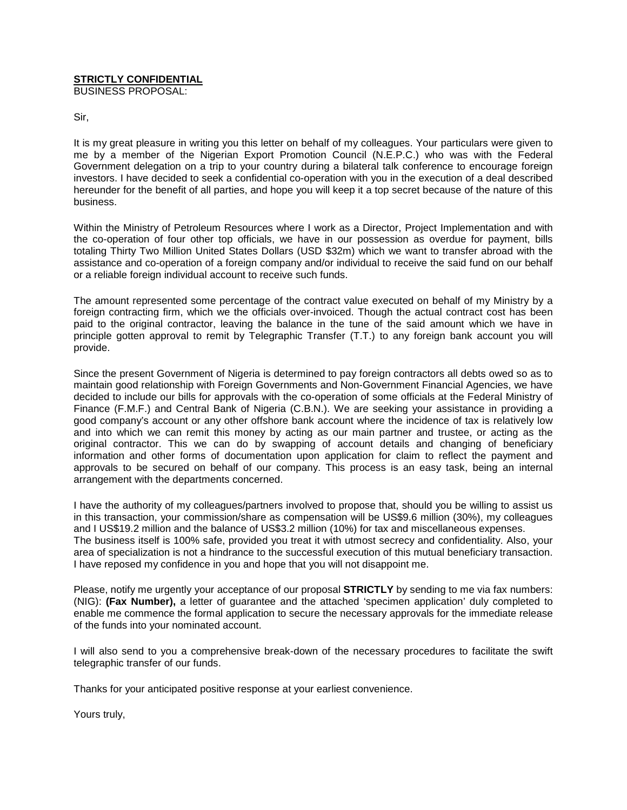# **STRICTLY CONFIDENTIAL**

BUSINESS PROPOSAL:

Sir,

It is my great pleasure in writing you this letter on behalf of my colleagues. Your particulars were given to me by a member of the Nigerian Export Promotion Council (N.E.P.C.) who was with the Federal Government delegation on a trip to your country during a bilateral talk conference to encourage foreign investors. I have decided to seek a confidential co-operation with you in the execution of a deal described hereunder for the benefit of all parties, and hope you will keep it a top secret because of the nature of this business.

Within the Ministry of Petroleum Resources where I work as a Director, Project Implementation and with the co-operation of four other top officials, we have in our possession as overdue for payment, bills totaling Thirty Two Million United States Dollars (USD \$32m) which we want to transfer abroad with the assistance and co-operation of a foreign company and/or individual to receive the said fund on our behalf or a reliable foreign individual account to receive such funds.

The amount represented some percentage of the contract value executed on behalf of my Ministry by a foreign contracting firm, which we the officials over-invoiced. Though the actual contract cost has been paid to the original contractor, leaving the balance in the tune of the said amount which we have in principle gotten approval to remit by Telegraphic Transfer (T.T.) to any foreign bank account you will provide.

Since the present Government of Nigeria is determined to pay foreign contractors all debts owed so as to maintain good relationship with Foreign Governments and Non-Government Financial Agencies, we have decided to include our bills for approvals with the co-operation of some officials at the Federal Ministry of Finance (F.M.F.) and Central Bank of Nigeria (C.B.N.). We are seeking your assistance in providing a good company's account or any other offshore bank account where the incidence of tax is relatively low and into which we can remit this money by acting as our main partner and trustee, or acting as the original contractor. This we can do by swapping of account details and changing of beneficiary information and other forms of documentation upon application for claim to reflect the payment and approvals to be secured on behalf of our company. This process is an easy task, being an internal arrangement with the departments concerned.

I have the authority of my colleagues/partners involved to propose that, should you be willing to assist us in this transaction, your commission/share as compensation will be US\$9.6 million (30%), my colleagues and I US\$19.2 million and the balance of US\$3.2 million (10%) for tax and miscellaneous expenses. The business itself is 100% safe, provided you treat it with utmost secrecy and confidentiality. Also, your area of specialization is not a hindrance to the successful execution of this mutual beneficiary transaction. I have reposed my confidence in you and hope that you will not disappoint me.

Please, notify me urgently your acceptance of our proposal **STRICTLY** by sending to me via fax numbers: (NIG): **(Fax Number),** a letter of guarantee and the attached 'specimen application' duly completed to enable me commence the formal application to secure the necessary approvals for the immediate release of the funds into your nominated account.

I will also send to you a comprehensive break-down of the necessary procedures to facilitate the swift telegraphic transfer of our funds.

Thanks for your anticipated positive response at your earliest convenience.

Yours truly,